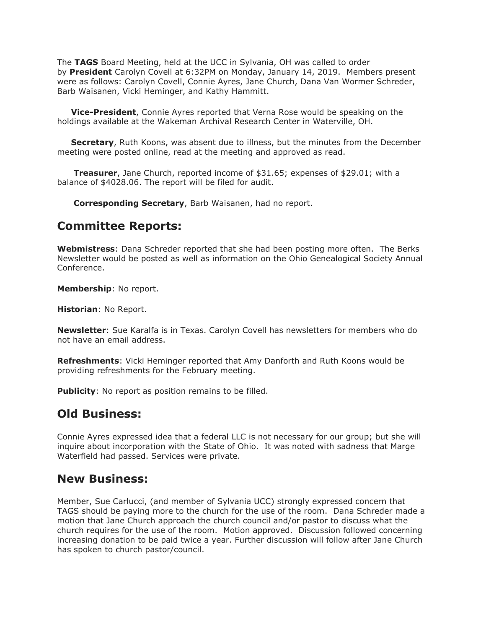The **TAGS** Board Meeting, held at the UCC in Sylvania, OH was called to order by **President** Carolyn Covell at 6:32PM on Monday, January 14, 2019. Members present were as follows: Carolyn Covell, Connie Ayres, Jane Church, Dana Van Wormer Schreder, Barb Waisanen, Vicki Heminger, and Kathy Hammitt.

 **Vice-President**, Connie Ayres reported that Verna Rose would be speaking on the holdings available at the Wakeman Archival Research Center in Waterville, OH.

 **Secretary**, Ruth Koons, was absent due to illness, but the minutes from the December meeting were posted online, read at the meeting and approved as read.

 **Treasurer**, Jane Church, reported income of \$31.65; expenses of \$29.01; with a balance of \$4028.06. The report will be filed for audit.

**Corresponding Secretary**, Barb Waisanen, had no report.

## **Committee Reports:**

**Webmistress**: Dana Schreder reported that she had been posting more often. The Berks Newsletter would be posted as well as information on the Ohio Genealogical Society Annual Conference.

**Membership**: No report.

**Historian**: No Report.

**Newsletter**: Sue Karalfa is in Texas. Carolyn Covell has newsletters for members who do not have an email address.

**Refreshments**: Vicki Heminger reported that Amy Danforth and Ruth Koons would be providing refreshments for the February meeting.

**Publicity**: No report as position remains to be filled.

## **Old Business:**

Connie Ayres expressed idea that a federal LLC is not necessary for our group; but she will inquire about incorporation with the State of Ohio. It was noted with sadness that Marge Waterfield had passed. Services were private.

## **New Business:**

Member, Sue Carlucci, (and member of Sylvania UCC) strongly expressed concern that TAGS should be paying more to the church for the use of the room. Dana Schreder made a motion that Jane Church approach the church council and/or pastor to discuss what the church requires for the use of the room. Motion approved. Discussion followed concerning increasing donation to be paid twice a year. Further discussion will follow after Jane Church has spoken to church pastor/council.